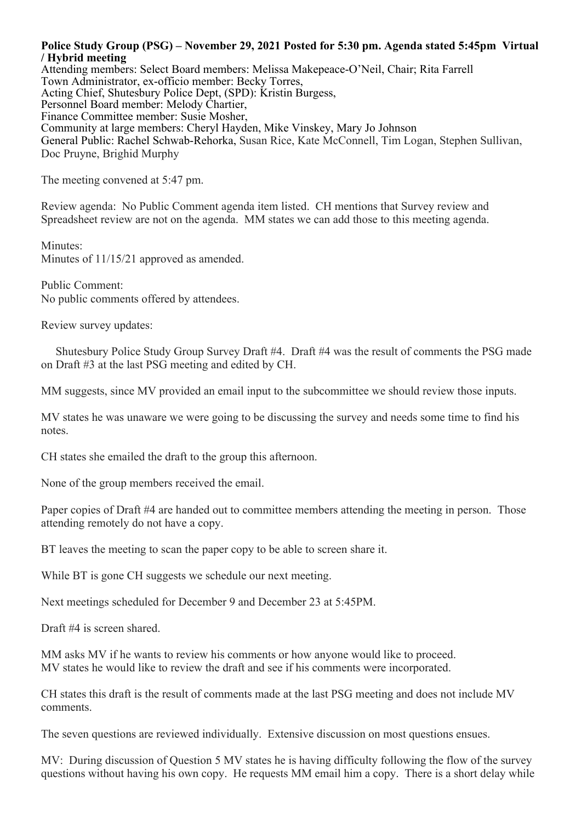## **Police Study Group (PSG) – November 29, 2021 Posted for 5:30 pm. Agenda stated 5:45pm Virtual / Hybrid meeting**

Attending members: Select Board members: Melissa Makepeace-O'Neil, Chair; Rita Farrell Town Administrator, ex-officio member: Becky Torres, Acting Chief, Shutesbury Police Dept, (SPD): Kristin Burgess, Personnel Board member: Melody Chartier, Finance Committee member: Susie Mosher, Community at large members: Cheryl Hayden, Mike Vinskey, Mary Jo Johnson General Public: Rachel Schwab-Rehorka, Susan Rice, Kate McConnell, Tim Logan, Stephen Sullivan, Doc Pruyne, Brighid Murphy

The meeting convened at 5:47 pm.

Review agenda: No Public Comment agenda item listed. CH mentions that Survey review and Spreadsheet review are not on the agenda. MM states we can add those to this meeting agenda.

Minutes: Minutes of 11/15/21 approved as amended.

Public Comment: No public comments offered by attendees.

Review survey updates:

 Shutesbury Police Study Group Survey Draft #4. Draft #4 was the result of comments the PSG made on Draft #3 at the last PSG meeting and edited by CH.

MM suggests, since MV provided an email input to the subcommittee we should review those inputs.

MV states he was unaware we were going to be discussing the survey and needs some time to find his notes.

CH states she emailed the draft to the group this afternoon.

None of the group members received the email.

Paper copies of Draft #4 are handed out to committee members attending the meeting in person. Those attending remotely do not have a copy.

BT leaves the meeting to scan the paper copy to be able to screen share it.

While BT is gone CH suggests we schedule our next meeting.

Next meetings scheduled for December 9 and December 23 at 5:45PM.

Draft #4 is screen shared.

MM asks MV if he wants to review his comments or how anyone would like to proceed. MV states he would like to review the draft and see if his comments were incorporated.

CH states this draft is the result of comments made at the last PSG meeting and does not include MV comments.

The seven questions are reviewed individually. Extensive discussion on most questions ensues.

MV: During discussion of Question 5 MV states he is having difficulty following the flow of the survey questions without having his own copy. He requests MM email him a copy. There is a short delay while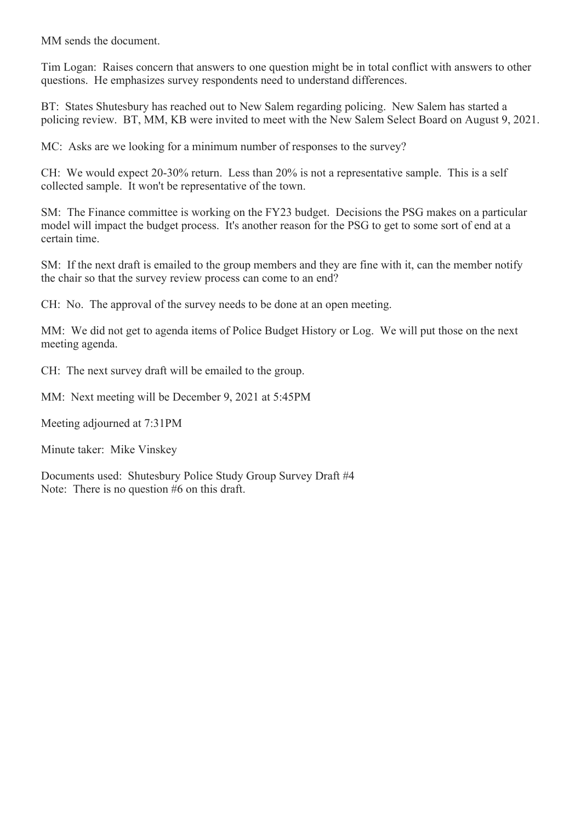MM sends the document.

Tim Logan: Raises concern that answers to one question might be in total conflict with answers to other questions. He emphasizes survey respondents need to understand differences.

BT: States Shutesbury has reached out to New Salem regarding policing. New Salem has started a policing review. BT, MM, KB were invited to meet with the New Salem Select Board on August 9, 2021.

MC: Asks are we looking for a minimum number of responses to the survey?

CH: We would expect 20-30% return. Less than 20% is not a representative sample. This is a self collected sample. It won't be representative of the town.

SM: The Finance committee is working on the FY23 budget. Decisions the PSG makes on a particular model will impact the budget process. It's another reason for the PSG to get to some sort of end at a certain time.

SM: If the next draft is emailed to the group members and they are fine with it, can the member notify the chair so that the survey review process can come to an end?

CH: No. The approval of the survey needs to be done at an open meeting.

MM: We did not get to agenda items of Police Budget History or Log. We will put those on the next meeting agenda.

CH: The next survey draft will be emailed to the group.

MM: Next meeting will be December 9, 2021 at 5:45PM

Meeting adjourned at 7:31PM

Minute taker: Mike Vinskey

Documents used: Shutesbury Police Study Group Survey Draft #4 Note: There is no question #6 on this draft.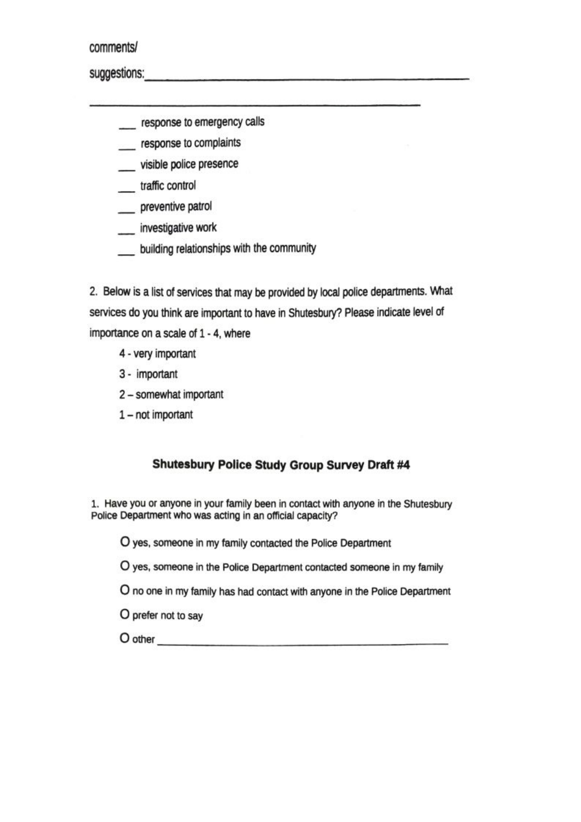comments/

suggestions: the contract of the contract of the contract of the contract of the contract of the contract of the contract of the contract of the contract of the contract of the contract of the contract of the contract of t

response to emergency calls

response to complaints

visible police presence

\_\_ traffic control

preventive patrol

investigative work

building relationships with the community

2. Below is a list of services that may be provided by local police departments. What services do you think are important to have in Shutesbury? Please indicate level of importance on a scale of 1 - 4, where

4 - very important

3 - important

2 - somewhat important

1-not important

## **Shutesbury Police Study Group Survey Draft #4**

1. Have you or anyone in your family been in contact with anyone in the Shutesbury Police Department who was acting in an official capacity?

O yes, someone in my family contacted the Police Department

O yes, someone in the Police Department contacted someone in my family

O no one in my family has had contact with anyone in the Police Department

O prefer not to say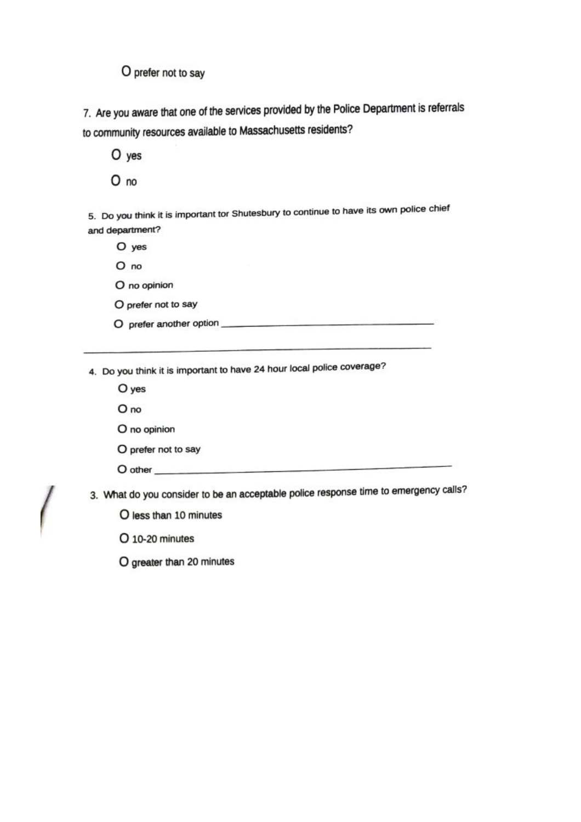O prefer not to say

7. Are you aware that one of the services provided by the Police Department is referrals to community resources available to Massachusetts residents?

O yes  $O$  no

5. Do you think it is important tor Shutesbury to continue to have its own police chief and department?

O yes

 $O$  no

O no opinion

O prefer not to say

4. Do you think it is important to have 24 hour local police coverage?

O yes

O no

O no opinion

O prefer not to say

O other

3. What do you consider to be an acceptable police response time to emergency calls?

O less than 10 minutes

O 10-20 minutes

O greater than 20 minutes